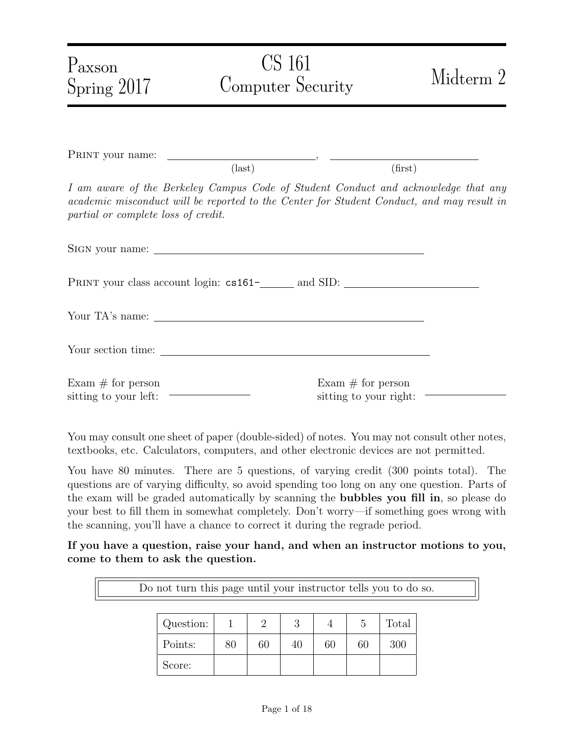| $P_{\rm axson}$<br>Spring 2017               | <b>CS</b> 161<br>Computer Security                                                                                                                                              | Midterm 2                                     |
|----------------------------------------------|---------------------------------------------------------------------------------------------------------------------------------------------------------------------------------|-----------------------------------------------|
|                                              |                                                                                                                                                                                 |                                               |
|                                              | $\text{(last)}$                                                                                                                                                                 | (first)                                       |
| partial or complete loss of credit.          | I am aware of the Berkeley Campus Code of Student Conduct and acknowledge that any<br>academic misconduct will be reported to the Center for Student Conduct, and may result in |                                               |
|                                              |                                                                                                                                                                                 |                                               |
|                                              |                                                                                                                                                                                 |                                               |
|                                              |                                                                                                                                                                                 |                                               |
|                                              |                                                                                                                                                                                 |                                               |
| Exam $#$ for person<br>sitting to your left: |                                                                                                                                                                                 | Exam $#$ for person<br>sitting to your right: |

You may consult one sheet of paper (double-sided) of notes. You may not consult other notes, textbooks, etc. Calculators, computers, and other electronic devices are not permitted.

You have 80 minutes. There are 5 questions, of varying credit (300 points total). The questions are of varying difficulty, so avoid spending too long on any one question. Parts of the exam will be graded automatically by scanning the bubbles you fill in, so please do your best to fill them in somewhat completely. Don't worry—if something goes wrong with the scanning, you'll have a chance to correct it during the regrade period.

If you have a question, raise your hand, and when an instructor motions to you, come to them to ask the question.

Do not turn this page until your instructor tells you to do so.

| Question: |    |    | 2<br>J |    |    | Total |
|-----------|----|----|--------|----|----|-------|
| Points:   | 80 | 60 | 40     | 60 | 60 | 300   |
| Score:    |    |    |        |    |    |       |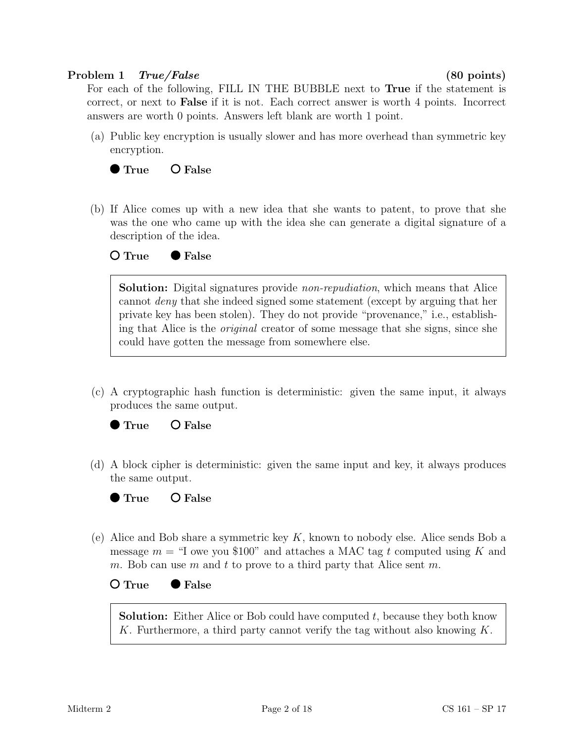# Problem 1 True/False (80 points)

For each of the following, FILL IN THE BUBBLE next to True if the statement is correct, or next to False if it is not. Each correct answer is worth 4 points. Incorrect answers are worth 0 points. Answers left blank are worth 1 point.

(a) Public key encryption is usually slower and has more overhead than symmetric key encryption.



(b) If Alice comes up with a new idea that she wants to patent, to prove that she was the one who came up with the idea she can generate a digital signature of a description of the idea.

○ True ● False

Solution: Digital signatures provide *non-repudiation*, which means that Alice cannot deny that she indeed signed some statement (except by arguing that her private key has been stolen). They do not provide "provenance," i.e., establishing that Alice is the original creator of some message that she signs, since she could have gotten the message from somewhere else.

(c) A cryptographic hash function is deterministic: given the same input, it always produces the same output.



(d) A block cipher is deterministic: given the same input and key, it always produces the same output.



(e) Alice and Bob share a symmetric key  $K$ , known to nobody else. Alice sends Bob a message  $m =$  "I owe you \$100" and attaches a MAC tag t computed using K and m. Bob can use m and t to prove to a third party that Alice sent m.

○ True ● False

**Solution:** Either Alice or Bob could have computed  $t$ , because they both know K. Furthermore, a third party cannot verify the tag without also knowing  $K$ .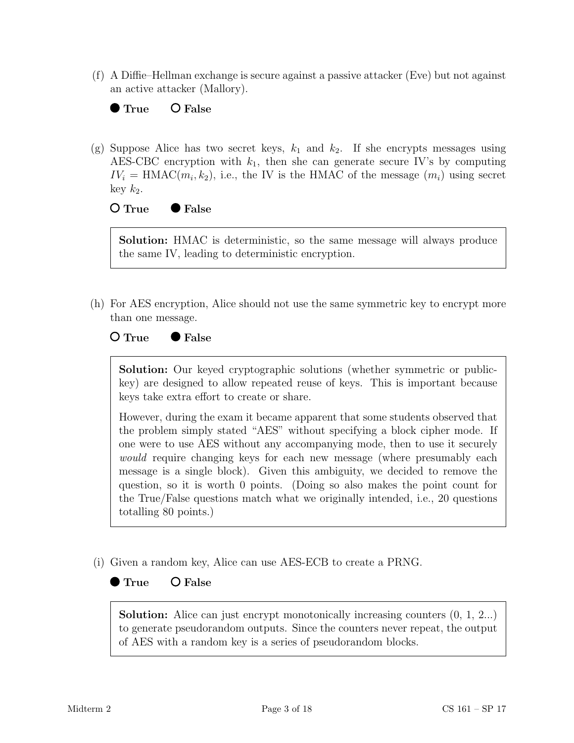(f) A Diffie–Hellman exchange is secure against a passive attacker (Eve) but not against an active attacker (Mallory).



(g) Suppose Alice has two secret keys,  $k_1$  and  $k_2$ . If she encrypts messages using AES-CBC encryption with  $k_1$ , then she can generate secure IV's by computing  $IV_i = \text{HMAC}(m_i, k_2)$ , i.e., the IV is the HMAC of the message  $(m_i)$  using secret key  $k_2$ .

## $O$  True  $\bullet$  False

Solution: HMAC is deterministic, so the same message will always produce the same IV, leading to deterministic encryption.

(h) For AES encryption, Alice should not use the same symmetric key to encrypt more than one message.

## $O$  True  $\bullet$  False

Solution: Our keyed cryptographic solutions (whether symmetric or publickey) are designed to allow repeated reuse of keys. This is important because keys take extra effort to create or share.

However, during the exam it became apparent that some students observed that the problem simply stated "AES" without specifying a block cipher mode. If one were to use AES without any accompanying mode, then to use it securely would require changing keys for each new message (where presumably each message is a single block). Given this ambiguity, we decided to remove the question, so it is worth 0 points. (Doing so also makes the point count for the True/False questions match what we originally intended, i.e., 20 questions totalling 80 points.)

(i) Given a random key, Alice can use AES-ECB to create a PRNG.

# $\bullet$  True  $\bullet$  False

**Solution:** Alice can just encrypt monotonically increasing counters  $(0, 1, 2...)$ to generate pseudorandom outputs. Since the counters never repeat, the output of AES with a random key is a series of pseudorandom blocks.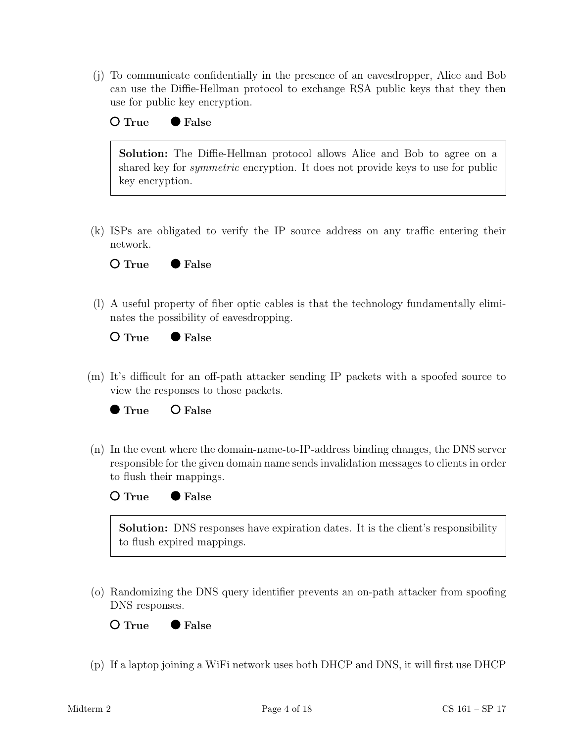(j) To communicate confidentially in the presence of an eavesdropper, Alice and Bob can use the Diffie-Hellman protocol to exchange RSA public keys that they then use for public key encryption.



Solution: The Diffie-Hellman protocol allows Alice and Bob to agree on a shared key for symmetric encryption. It does not provide keys to use for public key encryption.

(k) ISPs are obligated to verify the IP source address on any traffic entering their network.

 $O$  True  $\bullet$  False

(l) A useful property of fiber optic cables is that the technology fundamentally eliminates the possibility of eavesdropping.

 $O$  True  $\bullet$  False

(m) It's difficult for an off-path attacker sending IP packets with a spoofed source to view the responses to those packets.



(n) In the event where the domain-name-to-IP-address binding changes, the DNS server responsible for the given domain name sends invalidation messages to clients in order to flush their mappings.



Solution: DNS responses have expiration dates. It is the client's responsibility to flush expired mappings.

(o) Randomizing the DNS query identifier prevents an on-path attacker from spoofing DNS responses.

 $O$  True  $\bullet$  False

(p) If a laptop joining a WiFi network uses both DHCP and DNS, it will first use DHCP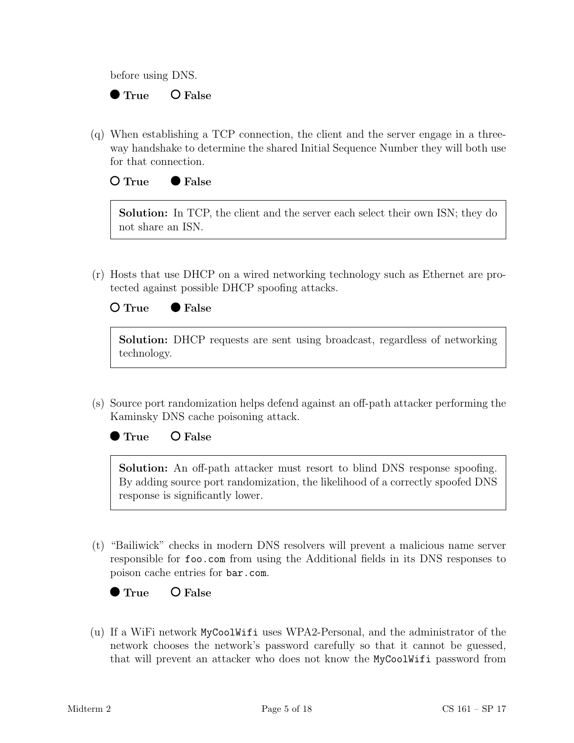before using DNS.

# $\bullet$  True  $\bullet$  False

(q) When establishing a TCP connection, the client and the server engage in a threeway handshake to determine the shared Initial Sequence Number they will both use for that connection.

# $O$  True  $\bullet$  False

Solution: In TCP, the client and the server each select their own ISN; they do not share an ISN.

(r) Hosts that use DHCP on a wired networking technology such as Ethernet are protected against possible DHCP spoofing attacks.



Solution: DHCP requests are sent using broadcast, regardless of networking technology.

(s) Source port randomization helps defend against an off-path attacker performing the Kaminsky DNS cache poisoning attack.

 $\bullet$  True  $\bullet$  False

Solution: An off-path attacker must resort to blind DNS response spoofing. By adding source port randomization, the likelihood of a correctly spoofed DNS response is significantly lower.

(t) "Bailiwick" checks in modern DNS resolvers will prevent a malicious name server responsible for foo.com from using the Additional fields in its DNS responses to poison cache entries for bar.com.



(u) If a WiFi network MyCoolWifi uses WPA2-Personal, and the administrator of the network chooses the network's password carefully so that it cannot be guessed, that will prevent an attacker who does not know the MyCoolWifi password from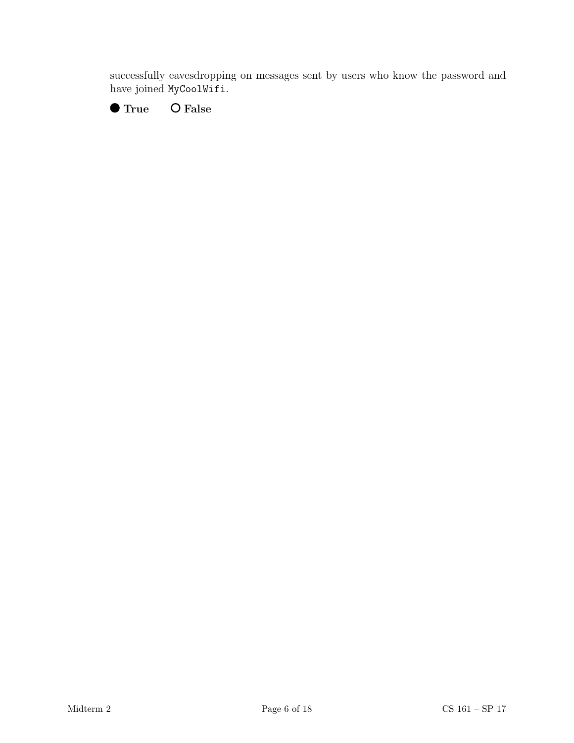successfully eavesdropping on messages sent by users who know the password and have joined MyCoolWifi.

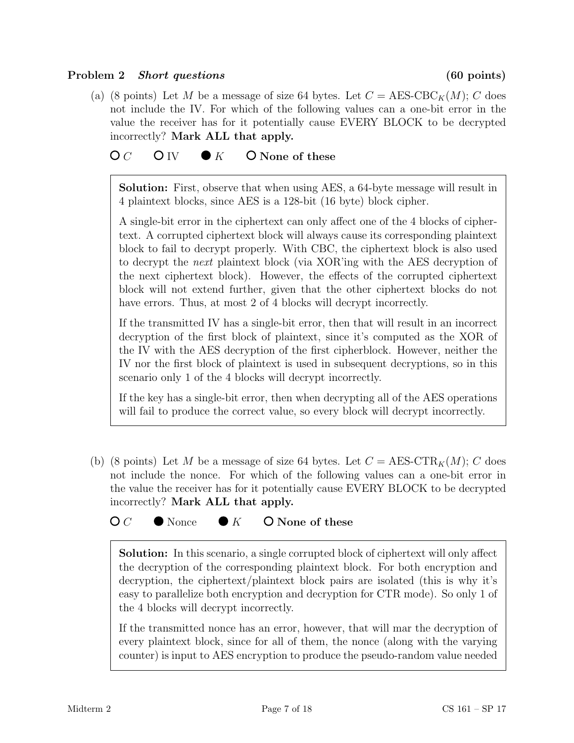## Problem 2 Short questions (60 points)

(a) (8 points) Let M be a message of size 64 bytes. Let  $C = \text{AES-CBC}_K(M); C$  does not include the IV. For which of the following values can a one-bit error in the value the receiver has for it potentially cause EVERY BLOCK to be decrypted incorrectly? Mark ALL that apply.

# $\overline{OC}$  O IV  $\bullet K$  O None of these

Solution: First, observe that when using AES, a 64-byte message will result in 4 plaintext blocks, since AES is a 128-bit (16 byte) block cipher.

A single-bit error in the ciphertext can only affect one of the 4 blocks of ciphertext. A corrupted ciphertext block will always cause its corresponding plaintext block to fail to decrypt properly. With CBC, the ciphertext block is also used to decrypt the next plaintext block (via XOR'ing with the AES decryption of the next ciphertext block). However, the effects of the corrupted ciphertext block will not extend further, given that the other ciphertext blocks do not have errors. Thus, at most 2 of 4 blocks will decrypt incorrectly.

If the transmitted IV has a single-bit error, then that will result in an incorrect decryption of the first block of plaintext, since it's computed as the XOR of the IV with the AES decryption of the first cipherblock. However, neither the IV nor the first block of plaintext is used in subsequent decryptions, so in this scenario only 1 of the 4 blocks will decrypt incorrectly.

If the key has a single-bit error, then when decrypting all of the AES operations will fail to produce the correct value, so every block will decrypt incorrectly.

(b) (8 points) Let M be a message of size 64 bytes. Let  $C = \text{AES-CTR}_K(M); C$  does not include the nonce. For which of the following values can a one-bit error in the value the receiver has for it potentially cause EVERY BLOCK to be decrypted incorrectly? Mark ALL that apply.

 $\mathsf{O}\,C$   $\bullet$  Nonce  $\bullet$  K  $\bullet$  None of these

Solution: In this scenario, a single corrupted block of ciphertext will only affect the decryption of the corresponding plaintext block. For both encryption and decryption, the ciphertext/plaintext block pairs are isolated (this is why it's easy to parallelize both encryption and decryption for CTR mode). So only 1 of the 4 blocks will decrypt incorrectly.

If the transmitted nonce has an error, however, that will mar the decryption of every plaintext block, since for all of them, the nonce (along with the varying counter) is input to AES encryption to produce the pseudo-random value needed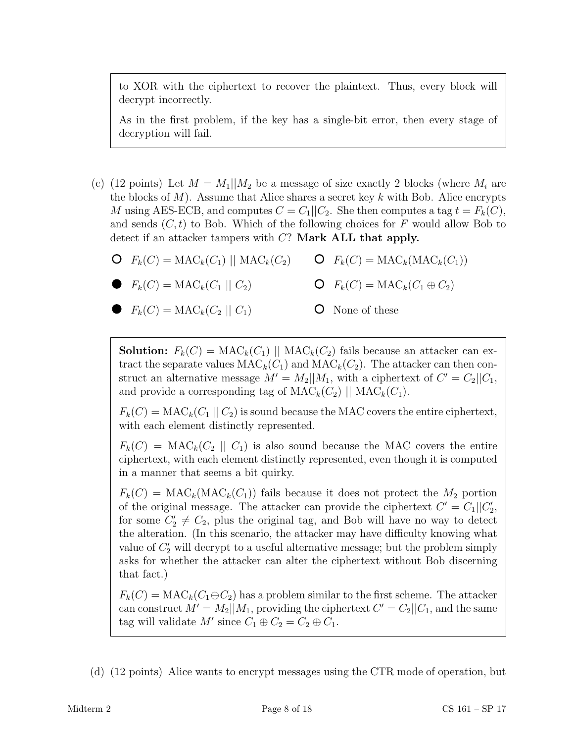to XOR with the ciphertext to recover the plaintext. Thus, every block will decrypt incorrectly.

As in the first problem, if the key has a single-bit error, then every stage of decryption will fail.

- (c) (12 points) Let  $M = M_1||M_2$  be a message of size exactly 2 blocks (where  $M_i$  are the blocks of  $M$ ). Assume that Alice shares a secret key k with Bob. Alice encrypts M using AES-ECB, and computes  $C = C_1||C_2$ . She then computes a tag  $t = F_k(C)$ , and sends  $(C, t)$  to Bob. Which of the following choices for F would allow Bob to detect if an attacker tampers with C? Mark ALL that apply.
	- $\mathsf{O} \ \ F_k(C) = \text{MAC}_k(C_1) \ || \text{MAC}_k(C_2)$  $\mathsf{O}$   $F_k(C) = \text{MAC}_k(\text{MAC}_k(C_1))$

$$
\bullet \quad F_k(C) = \text{MAC}_k(C_1 \mid C_2) \qquad \qquad \bullet \quad C \quad F_k(C) = \text{MAC}_k(C_1 \oplus C_2)
$$

 $F_k(C) = \text{MAC}_k(C_2 \mid C_1)$ 

None of these

**Solution:**  $F_k(C) = \text{MAC}_k(C_1)$  ||  $\text{MAC}_k(C_2)$  fails because an attacker can extract the separate values  $MAC_k(C_1)$  and  $MAC_k(C_2)$ . The attacker can then construct an alternative message  $M' = M_2||M_1$ , with a ciphertext of  $C' = C_2||C_1$ , and provide a corresponding tag of  $\mathrm{MAC}_k(C_2)$  ||  $\mathrm{MAC}_k(C_1)$ .

 $F_k(C) = \text{MAC}_k(C_1 \mid C_2)$  is sound because the MAC covers the entire ciphertext, with each element distinctly represented.

 $F_k(C) = \text{MAC}_k(C_2 \mid C_1)$  is also sound because the MAC covers the entire ciphertext, with each element distinctly represented, even though it is computed in a manner that seems a bit quirky.

 $F_k(C) = \text{MAC}_k(\text{MAC}_k(C_1))$  fails because it does not protect the  $M_2$  portion of the original message. The attacker can provide the ciphertext  $C' = C_1||C'_2$ , for some  $C_2' \neq C_2$ , plus the original tag, and Bob will have no way to detect the alteration. (In this scenario, the attacker may have difficulty knowing what value of  $C_2'$  will decrypt to a useful alternative message; but the problem simply asks for whether the attacker can alter the ciphertext without Bob discerning that fact.)

 $F_k(C) = \text{MAC}_k(C_1 \oplus C_2)$  has a problem similar to the first scheme. The attacker can construct  $M' = M_2||M_1$ , providing the ciphertext  $C' = C_2||C_1$ , and the same tag will validate  $M'$  since  $C_1 \oplus C_2 = C_2 \oplus C_1$ .

(d) (12 points) Alice wants to encrypt messages using the CTR mode of operation, but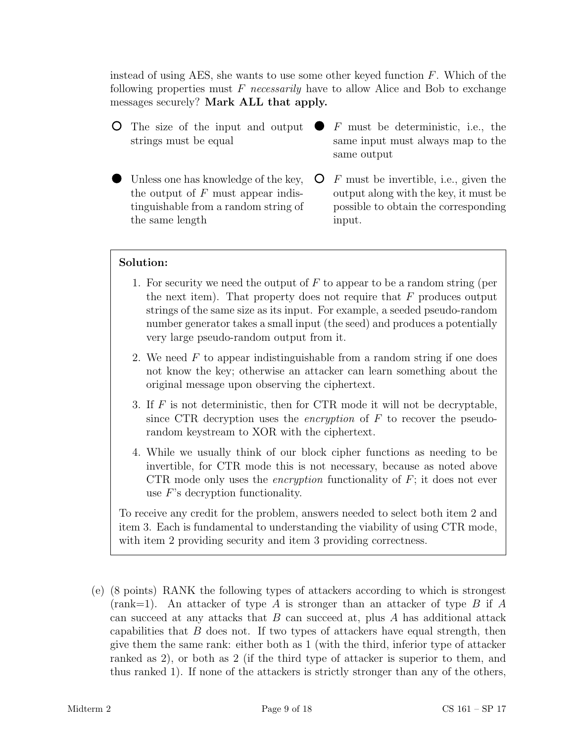instead of using AES, she wants to use some other keyed function  $F$ . Which of the following properties must  $F$  necessarily have to allow Alice and Bob to exchange messages securely? Mark ALL that apply.

- The size of the input and output strings must be equal
- Unless one has knowledge of the key, the output of  $F$  must appear indistinguishable from a random string of the same length
- F must be deterministic, i.e., the same input must always map to the same output
- $\mathsf{O}$  F must be invertible, i.e., given the output along with the key, it must be possible to obtain the corresponding input.

## Solution:

- 1. For security we need the output of  $F$  to appear to be a random string (per the next item). That property does not require that  $F$  produces output strings of the same size as its input. For example, a seeded pseudo-random number generator takes a small input (the seed) and produces a potentially very large pseudo-random output from it.
- 2. We need  $F$  to appear indistinguishable from a random string if one does not know the key; otherwise an attacker can learn something about the original message upon observing the ciphertext.
- 3. If  $F$  is not deterministic, then for CTR mode it will not be decryptable, since CTR decryption uses the encryption of F to recover the pseudorandom keystream to XOR with the ciphertext.
- 4. While we usually think of our block cipher functions as needing to be invertible, for CTR mode this is not necessary, because as noted above CTR mode only uses the *encryption* functionality of  $F$ ; it does not ever use F's decryption functionality.

To receive any credit for the problem, answers needed to select both item 2 and item 3. Each is fundamental to understanding the viability of using CTR mode, with item 2 providing security and item 3 providing correctness.

(e) (8 points) RANK the following types of attackers according to which is strongest  $(rank=1)$ . An attacker of type A is stronger than an attacker of type B if A can succeed at any attacks that  $B$  can succeed at, plus  $A$  has additional attack capabilities that  $B$  does not. If two types of attackers have equal strength, then give them the same rank: either both as 1 (with the third, inferior type of attacker ranked as 2), or both as 2 (if the third type of attacker is superior to them, and thus ranked 1). If none of the attackers is strictly stronger than any of the others,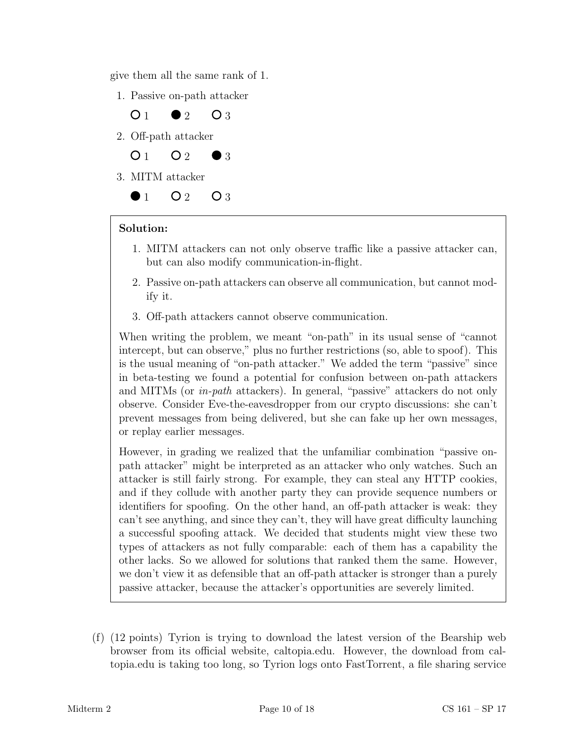give them all the same rank of 1.

1. Passive on-path attacker



# Solution:

- 1. MITM attackers can not only observe traffic like a passive attacker can, but can also modify communication-in-flight.
- 2. Passive on-path attackers can observe all communication, but cannot modify it.
- 3. Off-path attackers cannot observe communication.

When writing the problem, we meant "on-path" in its usual sense of "cannot intercept, but can observe," plus no further restrictions (so, able to spoof). This is the usual meaning of "on-path attacker." We added the term "passive" since in beta-testing we found a potential for confusion between on-path attackers and MITMs (or in-path attackers). In general, "passive" attackers do not only observe. Consider Eve-the-eavesdropper from our crypto discussions: she can't prevent messages from being delivered, but she can fake up her own messages, or replay earlier messages.

However, in grading we realized that the unfamiliar combination "passive onpath attacker" might be interpreted as an attacker who only watches. Such an attacker is still fairly strong. For example, they can steal any HTTP cookies, and if they collude with another party they can provide sequence numbers or identifiers for spoofing. On the other hand, an off-path attacker is weak: they can't see anything, and since they can't, they will have great difficulty launching a successful spoofing attack. We decided that students might view these two types of attackers as not fully comparable: each of them has a capability the other lacks. So we allowed for solutions that ranked them the same. However, we don't view it as defensible that an off-path attacker is stronger than a purely passive attacker, because the attacker's opportunities are severely limited.

(f) (12 points) Tyrion is trying to download the latest version of the Bearship web browser from its official website, caltopia.edu. However, the download from caltopia.edu is taking too long, so Tyrion logs onto FastTorrent, a file sharing service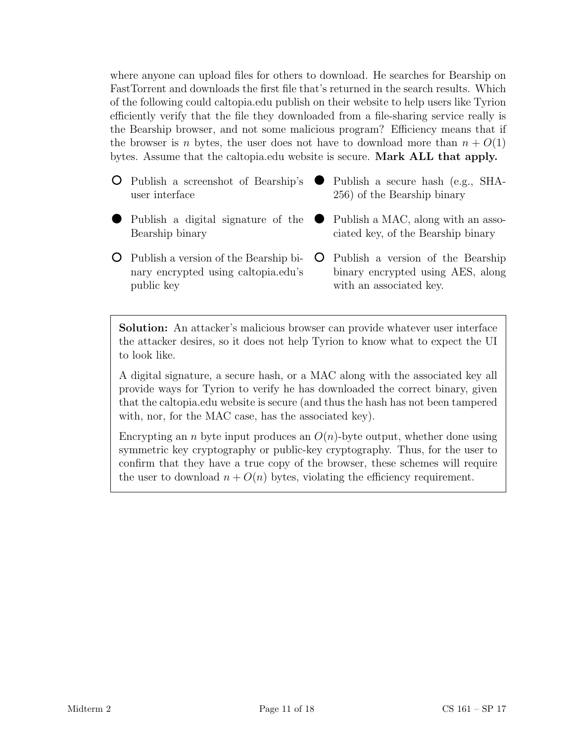where anyone can upload files for others to download. He searches for Bearship on FastTorrent and downloads the first file that's returned in the search results. Which of the following could caltopia.edu publish on their website to help users like Tyrion efficiently verify that the file they downloaded from a file-sharing service really is the Bearship browser, and not some malicious program? Efficiency means that if the browser is *n* bytes, the user does not have to download more than  $n + O(1)$ bytes. Assume that the caltopia.edu website is secure. **Mark ALL that apply.** 

- Publish a screenshot of Bearship's user interface Publish a secure hash (e.g., SHA-256) of the Bearship binary
- Publish a digital signature of the Bearship binary
- Publish a version of the Bearship binary encrypted using caltopia.edu's public key
- Publish a MAC, along with an asso-

ciated key, of the Bearship binary

Publish a version of the Bearship binary encrypted using AES, along with an associated key.

Solution: An attacker's malicious browser can provide whatever user interface the attacker desires, so it does not help Tyrion to know what to expect the UI to look like.

A digital signature, a secure hash, or a MAC along with the associated key all provide ways for Tyrion to verify he has downloaded the correct binary, given that the caltopia.edu website is secure (and thus the hash has not been tampered with, nor, for the MAC case, has the associated key).

Encrypting an *n* byte input produces an  $O(n)$ -byte output, whether done using symmetric key cryptography or public-key cryptography. Thus, for the user to confirm that they have a true copy of the browser, these schemes will require the user to download  $n + O(n)$  bytes, violating the efficiency requirement.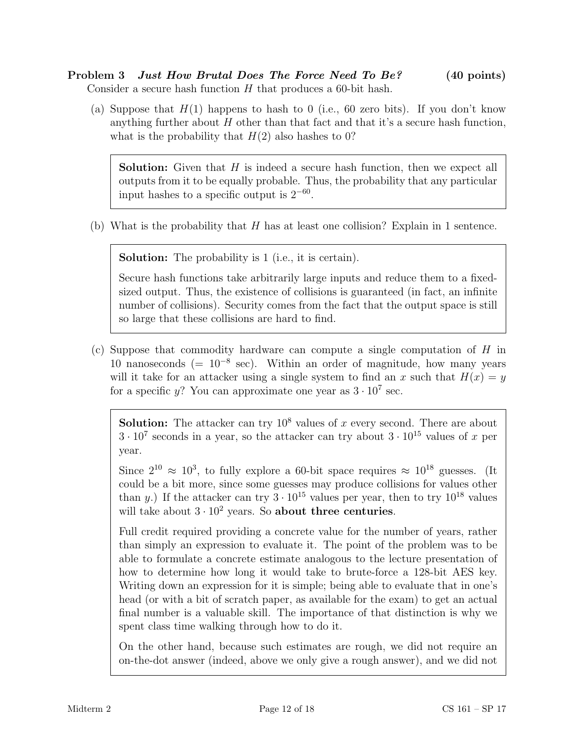# Problem 3 *Just How Brutal Does The Force Need To Be?* (40 points) Consider a secure hash function  $H$  that produces a 60-bit hash.

(a) Suppose that  $H(1)$  happens to hash to 0 (i.e., 60 zero bits). If you don't know anything further about  $H$  other than that fact and that it's a secure hash function, what is the probability that  $H(2)$  also hashes to 0?

**Solution:** Given that  $H$  is indeed a secure hash function, then we expect all outputs from it to be equally probable. Thus, the probability that any particular input hashes to a specific output is  $2^{-60}$ .

(b) What is the probability that  $H$  has at least one collision? Explain in 1 sentence.

Solution: The probability is 1 (i.e., it is certain).

Secure hash functions take arbitrarily large inputs and reduce them to a fixedsized output. Thus, the existence of collisions is guaranteed (in fact, an infinite number of collisions). Security comes from the fact that the output space is still so large that these collisions are hard to find.

(c) Suppose that commodity hardware can compute a single computation of H in 10 nanoseconds (=  $10^{-8}$  sec). Within an order of magnitude, how many years will it take for an attacker using a single system to find an x such that  $H(x) = y$ for a specific y? You can approximate one year as  $3 \cdot 10^7$  sec.

**Solution:** The attacker can try  $10^8$  values of x every second. There are about  $3 \cdot 10^7$  seconds in a year, so the attacker can try about  $3 \cdot 10^{15}$  values of x per year.

Since  $2^{10} \approx 10^3$ , to fully explore a 60-bit space requires  $\approx 10^{18}$  guesses. (It could be a bit more, since some guesses may produce collisions for values other than y.) If the attacker can try  $3 \cdot 10^{15}$  values per year, then to try  $10^{18}$  values will take about  $3 \cdot 10^2$  years. So about three centuries.

Full credit required providing a concrete value for the number of years, rather than simply an expression to evaluate it. The point of the problem was to be able to formulate a concrete estimate analogous to the lecture presentation of how to determine how long it would take to brute-force a 128-bit AES key. Writing down an expression for it is simple; being able to evaluate that in one's head (or with a bit of scratch paper, as available for the exam) to get an actual final number is a valuable skill. The importance of that distinction is why we spent class time walking through how to do it.

On the other hand, because such estimates are rough, we did not require an on-the-dot answer (indeed, above we only give a rough answer), and we did not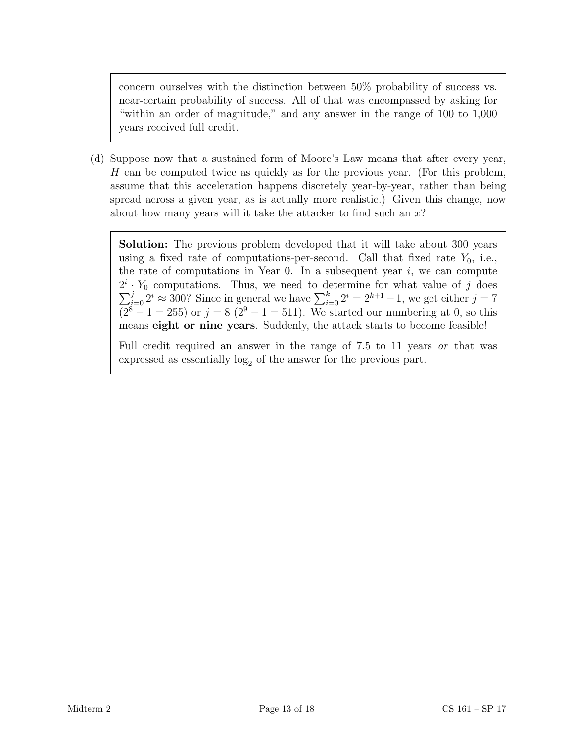concern ourselves with the distinction between 50% probability of success vs. near-certain probability of success. All of that was encompassed by asking for "within an order of magnitude," and any answer in the range of 100 to 1,000 years received full credit.

(d) Suppose now that a sustained form of Moore's Law means that after every year, H can be computed twice as quickly as for the previous year. (For this problem, assume that this acceleration happens discretely year-by-year, rather than being spread across a given year, as is actually more realistic.) Given this change, now about how many years will it take the attacker to find such an  $x$ ?

Solution: The previous problem developed that it will take about 300 years using a fixed rate of computations-per-second. Call that fixed rate  $Y_0$ , i.e., the rate of computations in Year 0. In a subsequent year  $i$ , we can compute  $2^i$  $2^i \cdot Y_0$  computations. Thus, we need to determine for what value of j does  $\sum_{i=0}^j 2^i \approx 300$ ? Since in general we have  $\sum_{i=0}^k 2^i = 2^{k+1} - 1$ , we get either  $j = 7$  $(2^{8} - 1 = 255)$  or  $j = 8$   $(2^{9} - 1 = 511)$ . We started our numbering at 0, so this means eight or nine years. Suddenly, the attack starts to become feasible!

Full credit required an answer in the range of 7.5 to 11 years or that was expressed as essentially  $log<sub>2</sub>$  of the answer for the previous part.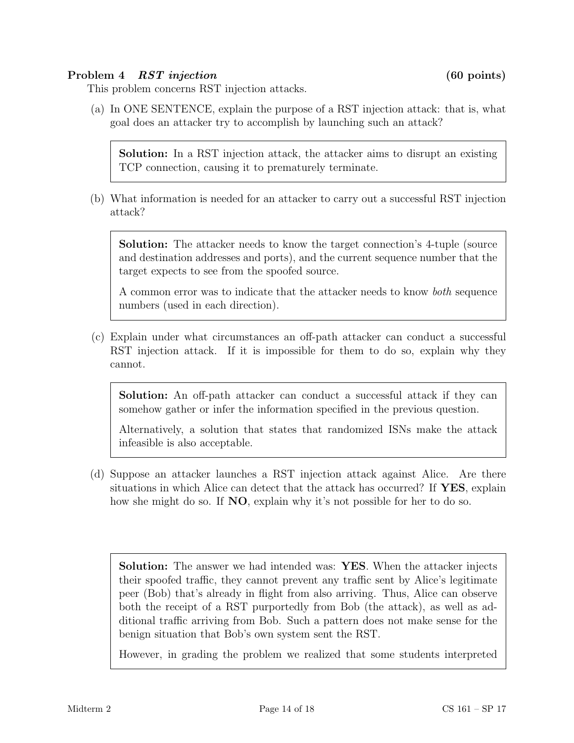# Problem 4 RST injection (60 points)

This problem concerns RST injection attacks.

(a) In ONE SENTENCE, explain the purpose of a RST injection attack: that is, what goal does an attacker try to accomplish by launching such an attack?

Solution: In a RST injection attack, the attacker aims to disrupt an existing TCP connection, causing it to prematurely terminate.

(b) What information is needed for an attacker to carry out a successful RST injection attack?

Solution: The attacker needs to know the target connection's 4-tuple (source and destination addresses and ports), and the current sequence number that the target expects to see from the spoofed source.

A common error was to indicate that the attacker needs to know both sequence numbers (used in each direction).

(c) Explain under what circumstances an off-path attacker can conduct a successful RST injection attack. If it is impossible for them to do so, explain why they cannot.

Solution: An off-path attacker can conduct a successful attack if they can somehow gather or infer the information specified in the previous question.

Alternatively, a solution that states that randomized ISNs make the attack infeasible is also acceptable.

(d) Suppose an attacker launches a RST injection attack against Alice. Are there situations in which Alice can detect that the attack has occurred? If YES, explain how she might do so. If **NO**, explain why it's not possible for her to do so.

Solution: The answer we had intended was: YES. When the attacker injects their spoofed traffic, they cannot prevent any traffic sent by Alice's legitimate peer (Bob) that's already in flight from also arriving. Thus, Alice can observe both the receipt of a RST purportedly from Bob (the attack), as well as additional traffic arriving from Bob. Such a pattern does not make sense for the benign situation that Bob's own system sent the RST.

However, in grading the problem we realized that some students interpreted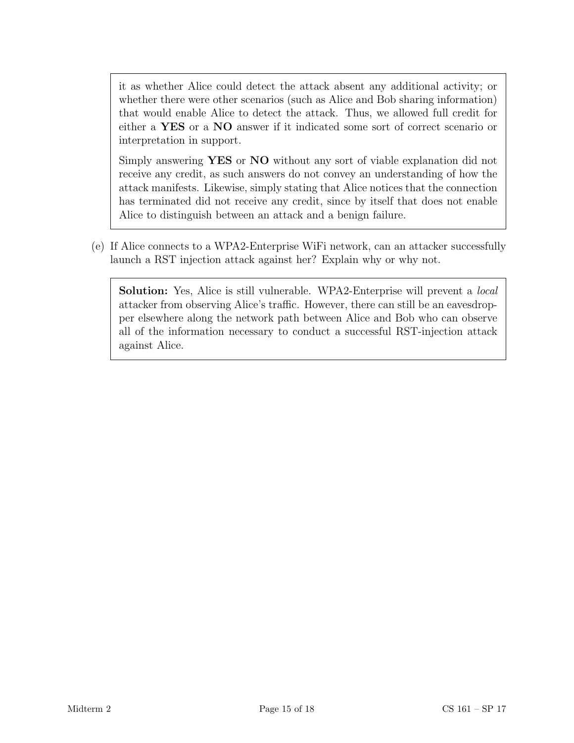it as whether Alice could detect the attack absent any additional activity; or whether there were other scenarios (such as Alice and Bob sharing information) that would enable Alice to detect the attack. Thus, we allowed full credit for either a YES or a NO answer if it indicated some sort of correct scenario or interpretation in support.

Simply answering YES or NO without any sort of viable explanation did not receive any credit, as such answers do not convey an understanding of how the attack manifests. Likewise, simply stating that Alice notices that the connection has terminated did not receive any credit, since by itself that does not enable Alice to distinguish between an attack and a benign failure.

(e) If Alice connects to a WPA2-Enterprise WiFi network, can an attacker successfully launch a RST injection attack against her? Explain why or why not.

Solution: Yes, Alice is still vulnerable. WPA2-Enterprise will prevent a local attacker from observing Alice's traffic. However, there can still be an eavesdropper elsewhere along the network path between Alice and Bob who can observe all of the information necessary to conduct a successful RST-injection attack against Alice.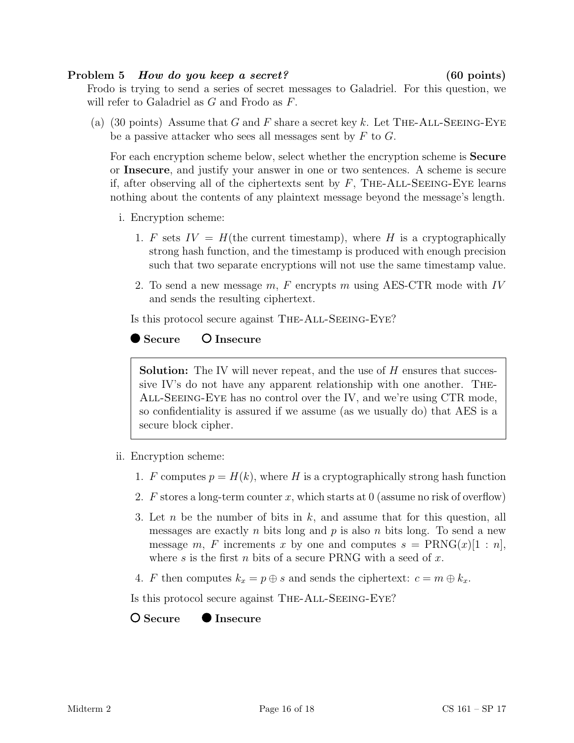### Problem 5 How do you keep a secret? (60 points)

Frodo is trying to send a series of secret messages to Galadriel. For this question, we will refer to Galadriel as G and Frodo as F.

(a) (30 points) Assume that G and F share a secret key k. Let THE-ALL-SEEING-EYE be a passive attacker who sees all messages sent by  $F$  to  $G$ .

For each encryption scheme below, select whether the encryption scheme is Secure or Insecure, and justify your answer in one or two sentences. A scheme is secure if, after observing all of the ciphertexts sent by  $F$ , THE-ALL-SEEING-EYE learns nothing about the contents of any plaintext message beyond the message's length.

- i. Encryption scheme:
	- 1. F sets  $IV = H$ (the current timestamp), where H is a cryptographically strong hash function, and the timestamp is produced with enough precision such that two separate encryptions will not use the same timestamp value.
	- 2. To send a new message  $m$ , F encrypts m using AES-CTR mode with IV and sends the resulting ciphertext.

Is this protocol secure against The-All-Seeing-Eye?

# $\bullet$  Secure  $\bullet$  Insecure

**Solution:** The IV will never repeat, and the use of  $H$  ensures that successive IV's do not have any apparent relationship with one another. The-All-Seeing-Eye has no control over the IV, and we're using CTR mode, so confidentiality is assured if we assume (as we usually do) that AES is a secure block cipher.

- ii. Encryption scheme:
	- 1. F computes  $p = H(k)$ , where H is a cryptographically strong hash function
	- 2. F stores a long-term counter x, which starts at 0 (assume no risk of overflow)
	- 3. Let n be the number of bits in  $k$ , and assume that for this question, all messages are exactly n bits long and p is also n bits long. To send a new message m, F increments x by one and computes  $s = \text{PRNG}(x)[1:n]$ , where s is the first n bits of a secure PRNG with a seed of  $x$ .
	- 4. F then computes  $k_x = p \oplus s$  and sends the ciphertext:  $c = m \oplus k_x$ .

Is this protocol secure against The-All-Seeing-Eye?

# O Secure ● Insecure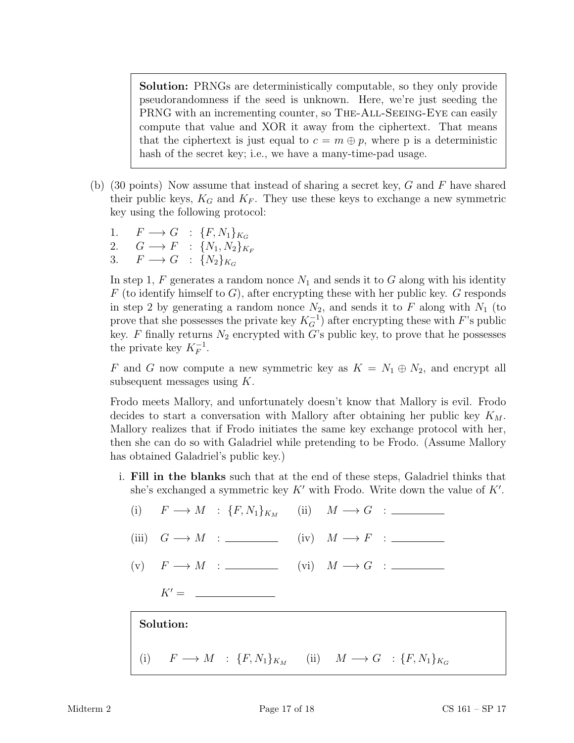Solution: PRNGs are deterministically computable, so they only provide pseudorandomness if the seed is unknown. Here, we're just seeding the PRNG with an incrementing counter, so THE-ALL-SEEING-EYE can easily compute that value and XOR it away from the ciphertext. That means that the ciphertext is just equal to  $c = m \oplus p$ , where p is a deterministic hash of the secret key; i.e., we have a many-time-pad usage.

- (b) (30 points) Now assume that instead of sharing a secret key,  $G$  and  $F$  have shared their public keys,  $K_G$  and  $K_F$ . They use these keys to exchange a new symmetric key using the following protocol:
	- 1.  $F \longrightarrow G$  :  $\{F, N_1\}_{K_G}$ <br>2.  $G \longrightarrow F$  :  $\{N_1, N_2\}_{K_G}$ 2.  $G \longrightarrow F$  :  $\{N_1, N_2\}_{K_F}$
	- 3.  $F \longrightarrow G$  :  $\{N_2\}_{K_G}$

In step 1,  $F$  generates a random nonce  $N_1$  and sends it to  $G$  along with his identity  $F$  (to identify himself to  $G$ ), after encrypting these with her public key.  $G$  responds in step 2 by generating a random nonce  $N_2$ , and sends it to F along with  $N_1$  (to prove that she possesses the private key  $K_G^{-1}$ ) after encrypting these with F's public key. F finally returns  $N_2$  encrypted with G's public key, to prove that he possesses the private key  $K_F^{-1}$ .

F and G now compute a new symmetric key as  $K = N_1 \oplus N_2$ , and encrypt all subsequent messages using K.

Frodo meets Mallory, and unfortunately doesn't know that Mallory is evil. Frodo decides to start a conversation with Mallory after obtaining her public key  $K_M$ . Mallory realizes that if Frodo initiates the same key exchange protocol with her, then she can do so with Galadriel while pretending to be Frodo. (Assume Mallory has obtained Galadriel's public key.)

- i. Fill in the blanks such that at the end of these steps, Galadriel thinks that she's exchanged a symmetric key  $K'$  with Frodo. Write down the value of  $K'$ .
	- (i)  $F \longrightarrow M : \{F, N_1\}_{K_M}$  (ii)  $M \longrightarrow G :$ (iii)  $G \longrightarrow M$  : (iv)  $M \longrightarrow F$  : (iv) (v)  $F \longrightarrow M$  : (vi)  $M \longrightarrow G$  : (vi) = (vi) = (vi) = (vi) = (vi) = (vi) = (vi) = (vi) = (vi) = (vi) = (vi) = (vi) = (vi) = (vi) = (vi) = (vi) = (vi) = (vi) = (vi) = (vi) = (vi) = (vi) = (vi) = (vi) = (vi) = (vi) = (vi) = (vi)  $K' =$ Solution: (i)  $F \longrightarrow M$  :  $\{F, N_1\}_{K_M}$  (ii)  $M \longrightarrow G$  :  $\{F, N_1\}_{K_G}$